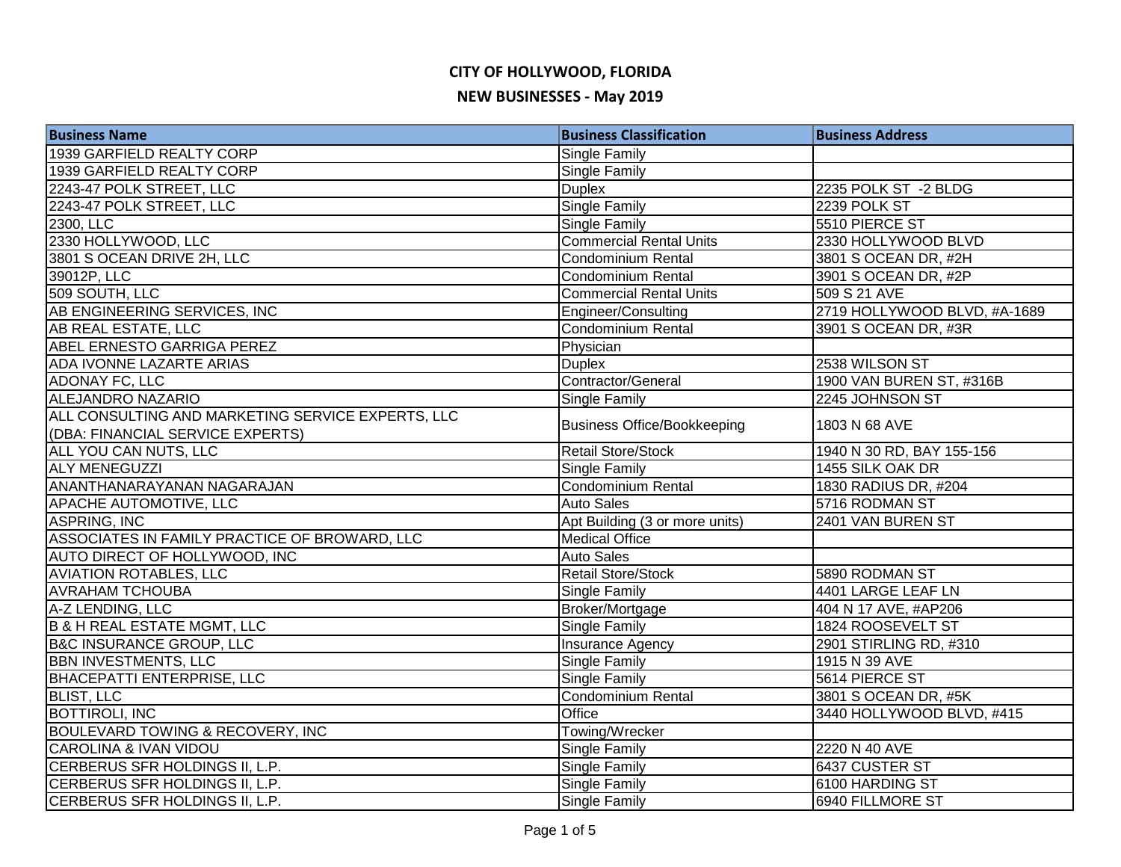## **CITY OF HOLLYWOOD, FLORIDA NEW BUSINESSES - May 2019**

| <b>Business Name</b>                              | <b>Business Classification</b>     | <b>Business Address</b>      |
|---------------------------------------------------|------------------------------------|------------------------------|
| 1939 GARFIELD REALTY CORP                         | <b>Single Family</b>               |                              |
| 1939 GARFIELD REALTY CORP                         | Single Family                      |                              |
| 2243-47 POLK STREET, LLC                          | <b>Duplex</b>                      | 2235 POLK ST -2 BLDG         |
| 2243-47 POLK STREET, LLC                          | <b>Single Family</b>               | 2239 POLK ST                 |
| 2300, LLC                                         | <b>Single Family</b>               | 5510 PIERCE ST               |
| 2330 HOLLYWOOD, LLC                               | <b>Commercial Rental Units</b>     | 2330 HOLLYWOOD BLVD          |
| 3801 S OCEAN DRIVE 2H, LLC                        | <b>Condominium Rental</b>          | 3801 S OCEAN DR, #2H         |
| 39012P, LLC                                       | Condominium Rental                 | 3901 S OCEAN DR, #2P         |
| 509 SOUTH, LLC                                    | <b>Commercial Rental Units</b>     | 509 S 21 AVE                 |
| AB ENGINEERING SERVICES, INC                      | Engineer/Consulting                | 2719 HOLLYWOOD BLVD, #A-1689 |
| AB REAL ESTATE, LLC                               | <b>Condominium Rental</b>          | 3901 S OCEAN DR, #3R         |
| ABEL ERNESTO GARRIGA PEREZ                        | Physician                          |                              |
| ADA IVONNE LAZARTE ARIAS                          | <b>Duplex</b>                      | 2538 WILSON ST               |
| ADONAY FC, LLC                                    | Contractor/General                 | 1900 VAN BUREN ST, #316B     |
| <b>ALEJANDRO NAZARIO</b>                          | <b>Single Family</b>               | 2245 JOHNSON ST              |
| ALL CONSULTING AND MARKETING SERVICE EXPERTS, LLC | <b>Business Office/Bookkeeping</b> | 1803 N 68 AVE                |
| (DBA: FINANCIAL SERVICE EXPERTS)                  |                                    |                              |
| ALL YOU CAN NUTS, LLC                             | Retail Store/Stock                 | 1940 N 30 RD, BAY 155-156    |
| <b>ALY MENEGUZZI</b>                              | Single Family                      | 1455 SILK OAK DR             |
| ANANTHANARAYANAN NAGARAJAN                        | <b>Condominium Rental</b>          | 1830 RADIUS DR, #204         |
| APACHE AUTOMOTIVE, LLC                            | <b>Auto Sales</b>                  | 5716 RODMAN ST               |
| <b>ASPRING, INC</b>                               | Apt Building (3 or more units)     | 2401 VAN BUREN ST            |
| ASSOCIATES IN FAMILY PRACTICE OF BROWARD, LLC     | <b>Medical Office</b>              |                              |
| AUTO DIRECT OF HOLLYWOOD, INC                     | Auto Sales                         |                              |
| <b>AVIATION ROTABLES, LLC</b>                     | <b>Retail Store/Stock</b>          | 5890 RODMAN ST               |
| <b>AVRAHAM TCHOUBA</b>                            | <b>Single Family</b>               | 4401 LARGE LEAF LN           |
| A-Z LENDING, LLC                                  | Broker/Mortgage                    | 404 N 17 AVE, #AP206         |
| <b>B &amp; H REAL ESTATE MGMT, LLC</b>            | <b>Single Family</b>               | 1824 ROOSEVELT ST            |
| <b>B&amp;C INSURANCE GROUP, LLC</b>               | <b>Insurance Agency</b>            | 2901 STIRLING RD, #310       |
| <b>BBN INVESTMENTS, LLC</b>                       | <b>Single Family</b>               | 1915 N 39 AVE                |
| <b>BHACEPATTI ENTERPRISE, LLC</b>                 | <b>Single Family</b>               | 5614 PIERCE ST               |
| <b>BLIST, LLC</b>                                 | <b>Condominium Rental</b>          | 3801 S OCEAN DR, #5K         |
| <b>BOTTIROLI, INC</b>                             | Office                             | 3440 HOLLYWOOD BLVD, #415    |
| BOULEVARD TOWING & RECOVERY, INC                  | Towing/Wrecker                     |                              |
| <b>CAROLINA &amp; IVAN VIDOU</b>                  | <b>Single Family</b>               | 2220 N 40 AVE                |
| CERBERUS SFR HOLDINGS II, L.P.                    | Single Family                      | 6437 CUSTER ST               |
| CERBERUS SFR HOLDINGS II, L.P.                    | <b>Single Family</b>               | 6100 HARDING ST              |
| CERBERUS SFR HOLDINGS II, L.P.                    | <b>Single Family</b>               | 6940 FILLMORE ST             |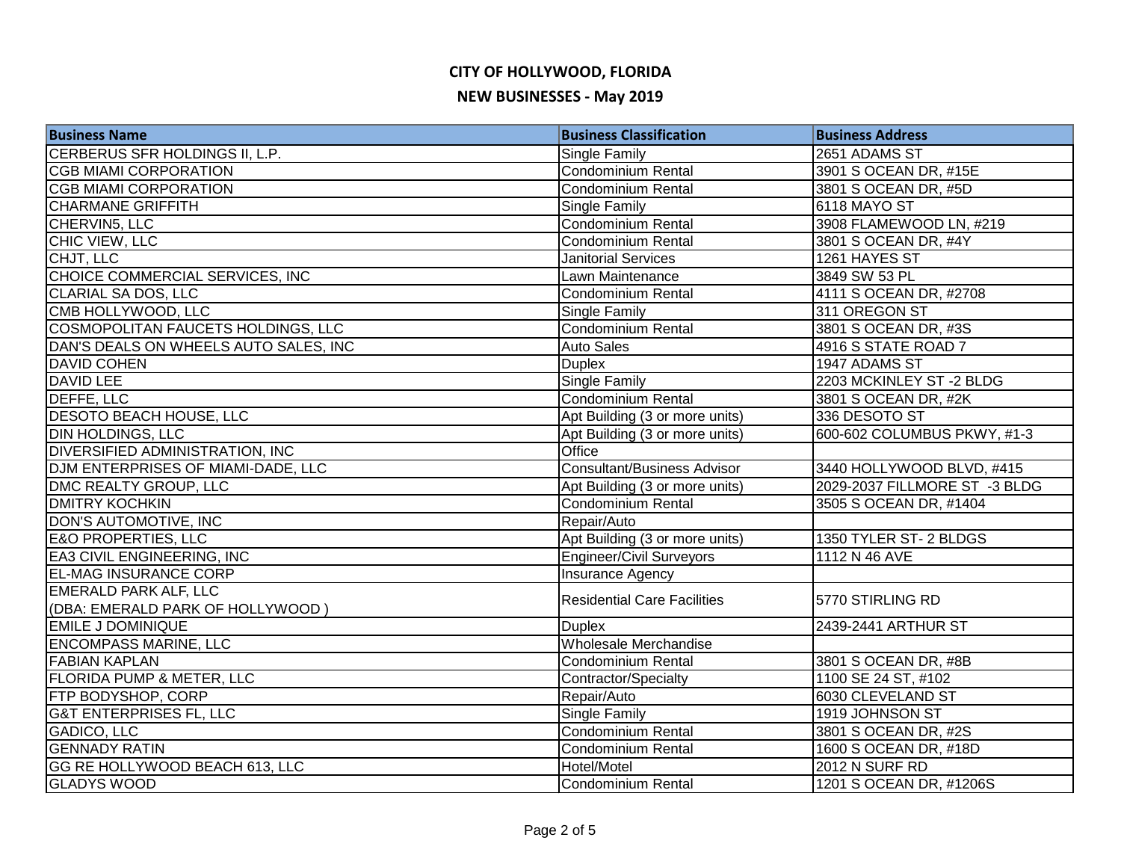## **CITY OF HOLLYWOOD, FLORIDA NEW BUSINESSES - May 2019**

| <b>Business Name</b>                   | <b>Business Classification</b>     | <b>Business Address</b>       |
|----------------------------------------|------------------------------------|-------------------------------|
| CERBERUS SFR HOLDINGS II, L.P.         | Single Family                      | 2651 ADAMS ST                 |
| <b>CGB MIAMI CORPORATION</b>           | <b>Condominium Rental</b>          | 3901 S OCEAN DR, #15E         |
| <b>CGB MIAMI CORPORATION</b>           | Condominium Rental                 | 3801 S OCEAN DR, #5D          |
| <b>CHARMANE GRIFFITH</b>               | Single Family                      | 6118 MAYO ST                  |
| CHERVIN5, LLC                          | <b>Condominium Rental</b>          | 3908 FLAMEWOOD LN, #219       |
| CHIC VIEW, LLC                         | <b>Condominium Rental</b>          | 3801 S OCEAN DR, #4Y          |
| CHJT, LLC                              | <b>Janitorial Services</b>         | 1261 HAYES ST                 |
| CHOICE COMMERCIAL SERVICES, INC        | Lawn Maintenance                   | 3849 SW 53 PL                 |
| CLARIAL SA DOS, LLC                    | Condominium Rental                 | 4111 S OCEAN DR, #2708        |
| CMB HOLLYWOOD, LLC                     | Single Family                      | 311 OREGON ST                 |
| COSMOPOLITAN FAUCETS HOLDINGS, LLC     | Condominium Rental                 | 3801 S OCEAN DR, #3S          |
| DAN'S DEALS ON WHEELS AUTO SALES, INC  | <b>Auto Sales</b>                  | 4916 S STATE ROAD 7           |
| <b>DAVID COHEN</b>                     | <b>Duplex</b>                      | 1947 ADAMS ST                 |
| DAVID LEE                              | Single Family                      | 2203 MCKINLEY ST-2 BLDG       |
| DEFFE, LLC                             | <b>Condominium Rental</b>          | 3801 S OCEAN DR, #2K          |
| <b>DESOTO BEACH HOUSE, LLC</b>         | Apt Building (3 or more units)     | 336 DESOTO ST                 |
| <b>DIN HOLDINGS, LLC</b>               | Apt Building (3 or more units)     | 600-602 COLUMBUS PKWY, #1-3   |
| <b>DIVERSIFIED ADMINISTRATION, INC</b> | Office                             |                               |
| DJM ENTERPRISES OF MIAMI-DADE, LLC     | <b>Consultant/Business Advisor</b> | 3440 HOLLYWOOD BLVD, #415     |
| DMC REALTY GROUP, LLC                  | Apt Building (3 or more units)     | 2029-2037 FILLMORE ST -3 BLDG |
| <b>DMITRY KOCHKIN</b>                  | Condominium Rental                 | 3505 S OCEAN DR, #1404        |
| DON'S AUTOMOTIVE, INC                  | Repair/Auto                        |                               |
| <b>E&amp;O PROPERTIES, LLC</b>         | Apt Building (3 or more units)     | 1350 TYLER ST-2 BLDGS         |
| <b>EA3 CIVIL ENGINEERING, INC</b>      | <b>Engineer/Civil Surveyors</b>    | 1112 N 46 AVE                 |
| <b>EL-MAG INSURANCE CORP</b>           | <b>Insurance Agency</b>            |                               |
| <b>EMERALD PARK ALF, LLC</b>           | <b>Residential Care Facilities</b> | 5770 STIRLING RD              |
| (DBA: EMERALD PARK OF HOLLYWOOD)       |                                    |                               |
| <b>EMILE J DOMINIQUE</b>               | <b>Duplex</b>                      | 2439-2441 ARTHUR ST           |
| <b>ENCOMPASS MARINE, LLC</b>           | Wholesale Merchandise              |                               |
| <b>FABIAN KAPLAN</b>                   | Condominium Rental                 | 3801 S OCEAN DR, #8B          |
| <b>FLORIDA PUMP &amp; METER, LLC</b>   | Contractor/Specialty               | 1100 SE 24 ST, #102           |
| <b>FTP BODYSHOP, CORP</b>              | Repair/Auto                        | 6030 CLEVELAND ST             |
| <b>G&amp;T ENTERPRISES FL, LLC</b>     | Single Family                      | 1919 JOHNSON ST               |
| GADICO, LLC                            | <b>Condominium Rental</b>          | 3801 S OCEAN DR, #2S          |
| <b>GENNADY RATIN</b>                   | <b>Condominium Rental</b>          | 1600 S OCEAN DR, #18D         |
| GG RE HOLLYWOOD BEACH 613, LLC         | Hotel/Motel                        | 2012 N SURF RD                |
| <b>GLADYS WOOD</b>                     | <b>Condominium Rental</b>          | 1201 S OCEAN DR, #1206S       |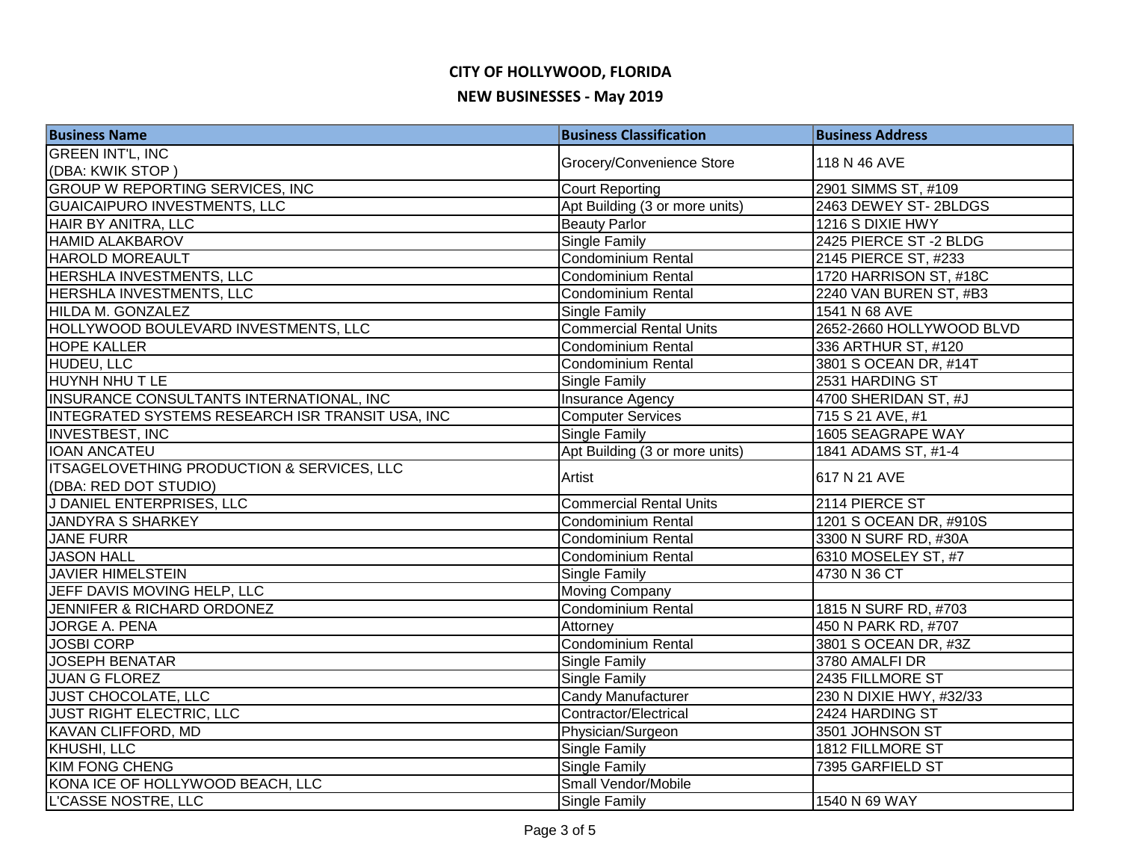# **CITY OF HOLLYWOOD, FLORIDA**

### **NEW BUSINESSES - May 2019**

| <b>Business Name</b>                                  | <b>Business Classification</b> | <b>Business Address</b>  |
|-------------------------------------------------------|--------------------------------|--------------------------|
| <b>GREEN INT'L, INC</b>                               |                                |                          |
| (DBA: KWIK STOP)                                      | Grocery/Convenience Store      | 118 N 46 AVE             |
| <b>GROUP W REPORTING SERVICES, INC</b>                | Court Reporting                | 2901 SIMMS ST, #109      |
| <b>GUAICAIPURO INVESTMENTS, LLC</b>                   | Apt Building (3 or more units) | 2463 DEWEY ST-2BLDGS     |
| HAIR BY ANITRA, LLC                                   | <b>Beauty Parlor</b>           | 1216 S DIXIE HWY         |
| <b>HAMID ALAKBAROV</b>                                | <b>Single Family</b>           | 2425 PIERCE ST -2 BLDG   |
| <b>HAROLD MOREAULT</b>                                | <b>Condominium Rental</b>      | 2145 PIERCE ST, #233     |
| HERSHLA INVESTMENTS, LLC                              | Condominium Rental             | 1720 HARRISON ST, #18C   |
| HERSHLA INVESTMENTS, LLC                              | Condominium Rental             | 2240 VAN BUREN ST, #B3   |
| HILDA M. GONZALEZ                                     | <b>Single Family</b>           | 1541 N 68 AVE            |
| HOLLYWOOD BOULEVARD INVESTMENTS, LLC                  | <b>Commercial Rental Units</b> | 2652-2660 HOLLYWOOD BLVD |
| <b>HOPE KALLER</b>                                    | Condominium Rental             | 336 ARTHUR ST, #120      |
| HUDEU, LLC                                            | Condominium Rental             | 3801 S OCEAN DR, #14T    |
| HUYNH NHU T LE                                        | Single Family                  | 2531 HARDING ST          |
| INSURANCE CONSULTANTS INTERNATIONAL, INC              | <b>Insurance Agency</b>        | 4700 SHERIDAN ST, #J     |
| INTEGRATED SYSTEMS RESEARCH ISR TRANSIT USA, INC      | <b>Computer Services</b>       | 715 S 21 AVE, #1         |
| <b>INVESTBEST, INC</b>                                | <b>Single Family</b>           | 1605 SEAGRAPE WAY        |
| <b>IOAN ANCATEU</b>                                   | Apt Building (3 or more units) | 1841 ADAMS ST, #1-4      |
| <b>ITSAGELOVETHING PRODUCTION &amp; SERVICES, LLC</b> | Artist                         | 617 N 21 AVE             |
| (DBA: RED DOT STUDIO)                                 |                                |                          |
| J DANIEL ENTERPRISES, LLC                             | <b>Commercial Rental Units</b> | 2114 PIERCE ST           |
| <b>JANDYRA S SHARKEY</b>                              | Condominium Rental             | 1201 S OCEAN DR, #910S   |
| <b>JANE FURR</b>                                      | Condominium Rental             | 3300 N SURF RD, #30A     |
| <b>JASON HALL</b>                                     | <b>Condominium Rental</b>      | 6310 MOSELEY ST, #7      |
| <b>JAVIER HIMELSTEIN</b>                              | <b>Single Family</b>           | 4730 N 36 CT             |
| JEFF DAVIS MOVING HELP, LLC                           | <b>Moving Company</b>          |                          |
| JENNIFER & RICHARD ORDONEZ                            | Condominium Rental             | 1815 N SURF RD, #703     |
| <b>JORGE A. PENA</b>                                  | Attorney                       | 450 N PARK RD, #707      |
| <b>JOSBI CORP</b>                                     | <b>Condominium Rental</b>      | 3801 S OCEAN DR, #3Z     |
| <b>JOSEPH BENATAR</b>                                 | <b>Single Family</b>           | 3780 AMALFI DR           |
| <b>JUAN G FLOREZ</b>                                  | <b>Single Family</b>           | 2435 FILLMORE ST         |
| <b>JUST CHOCOLATE, LLC</b>                            | <b>Candy Manufacturer</b>      | 230 N DIXIE HWY, #32/33  |
| <b>JUST RIGHT ELECTRIC, LLC</b>                       | Contractor/Electrical          | 2424 HARDING ST          |
| KAVAN CLIFFORD, MD                                    | Physician/Surgeon              | 3501 JOHNSON ST          |
| KHUSHI, LLC                                           | Single Family                  | 1812 FILLMORE ST         |
| <b>KIM FONG CHENG</b>                                 | <b>Single Family</b>           | 7395 GARFIELD ST         |
| KONA ICE OF HOLLYWOOD BEACH, LLC                      | Small Vendor/Mobile            |                          |
| <b>L'CASSE NOSTRE, LLC</b>                            | <b>Single Family</b>           | 1540 N 69 WAY            |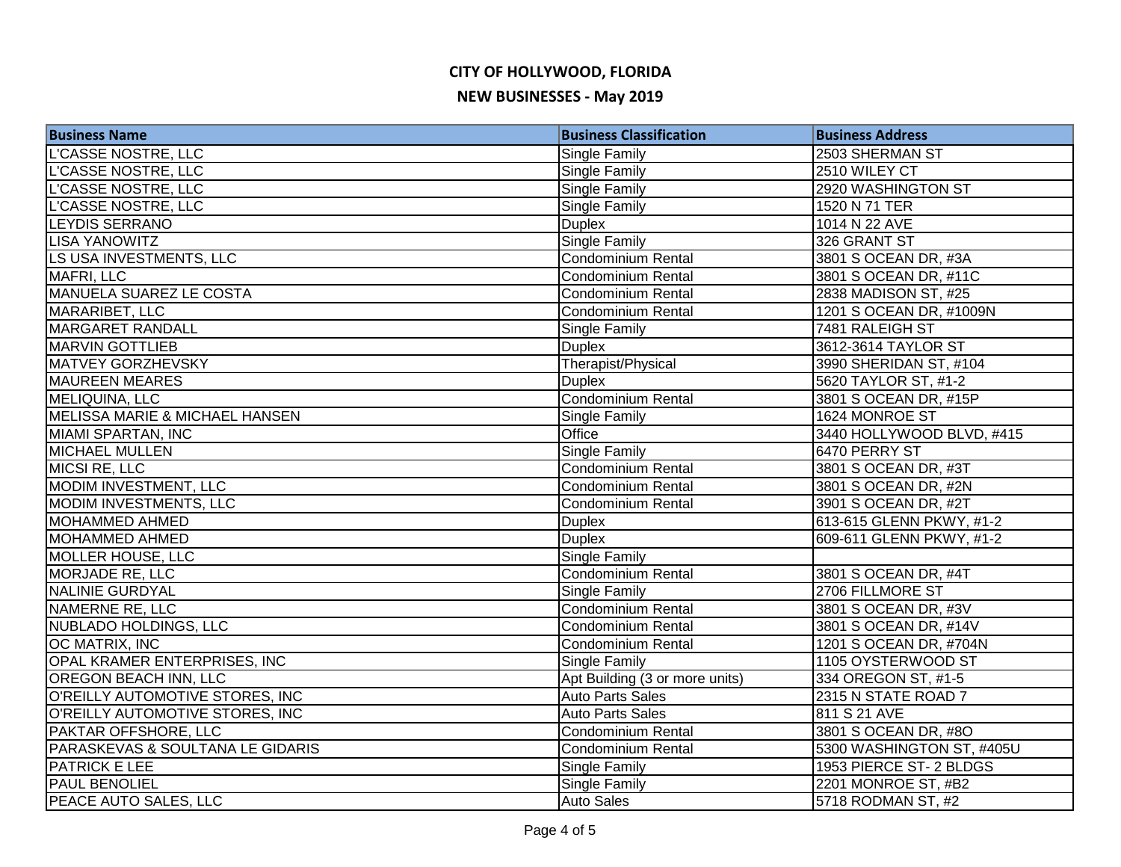## **CITY OF HOLLYWOOD, FLORIDA NEW BUSINESSES - May 2019**

| <b>Business Name</b>             | <b>Business Classification</b> | <b>Business Address</b>   |
|----------------------------------|--------------------------------|---------------------------|
| <b>L'CASSE NOSTRE, LLC</b>       | Single Family                  | 2503 SHERMAN ST           |
| L'CASSE NOSTRE, LLC              | Single Family                  | 2510 WILEY CT             |
| L'CASSE NOSTRE, LLC              | Single Family                  | 2920 WASHINGTON ST        |
| L'CASSE NOSTRE, LLC              | Single Family                  | 1520 N 71 TER             |
| <b>LEYDIS SERRANO</b>            | <b>Duplex</b>                  | 1014 N 22 AVE             |
| <b>LISA YANOWITZ</b>             | Single Family                  | 326 GRANT ST              |
| LS USA INVESTMENTS, LLC          | <b>Condominium Rental</b>      | 3801 S OCEAN DR, #3A      |
| MAFRI, LLC                       | <b>Condominium Rental</b>      | 3801 S OCEAN DR, #11C     |
| <b>MANUELA SUAREZ LE COSTA</b>   | Condominium Rental             | 2838 MADISON ST, #25      |
| MARARIBET, LLC                   | <b>Condominium Rental</b>      | 1201 S OCEAN DR, #1009N   |
| MARGARET RANDALL                 | Single Family                  | 7481 RALEIGH ST           |
| <b>MARVIN GOTTLIEB</b>           | <b>Duplex</b>                  | 3612-3614 TAYLOR ST       |
| <b>MATVEY GORZHEVSKY</b>         | Therapist/Physical             | 3990 SHERIDAN ST, #104    |
| <b>MAUREEN MEARES</b>            | <b>Duplex</b>                  | 5620 TAYLOR ST, #1-2      |
| MELIQUINA, LLC                   | Condominium Rental             | 3801 S OCEAN DR, #15P     |
| MELISSA MARIE & MICHAEL HANSEN   | Single Family                  | 1624 MONROE ST            |
| MIAMI SPARTAN, INC               | Office                         | 3440 HOLLYWOOD BLVD, #415 |
| <b>MICHAEL MULLEN</b>            | Single Family                  | 6470 PERRY ST             |
| MICSI RE, LLC                    | <b>Condominium Rental</b>      | 3801 S OCEAN DR, #3T      |
| MODIM INVESTMENT, LLC            | Condominium Rental             | 3801 S OCEAN DR, #2N      |
| MODIM INVESTMENTS, LLC           | <b>Condominium Rental</b>      | 3901 S OCEAN DR, #2T      |
| <b>MOHAMMED AHMED</b>            | <b>Duplex</b>                  | 613-615 GLENN PKWY, #1-2  |
| <b>MOHAMMED AHMED</b>            | <b>Duplex</b>                  | 609-611 GLENN PKWY, #1-2  |
| MOLLER HOUSE, LLC                | Single Family                  |                           |
| <b>MORJADE RE, LLC</b>           | <b>Condominium Rental</b>      | 3801 S OCEAN DR, #4T      |
| <b>NALINIE GURDYAL</b>           | Single Family                  | 2706 FILLMORE ST          |
| <b>NAMERNE RE, LLC</b>           | <b>Condominium Rental</b>      | 3801 S OCEAN DR, #3V      |
| <b>NUBLADO HOLDINGS, LLC</b>     | <b>Condominium Rental</b>      | 3801 S OCEAN DR, #14V     |
| <b>OC MATRIX, INC</b>            | <b>Condominium Rental</b>      | 1201 S OCEAN DR, #704N    |
| OPAL KRAMER ENTERPRISES, INC     | Single Family                  | 1105 OYSTERWOOD ST        |
| <b>OREGON BEACH INN, LLC</b>     | Apt Building (3 or more units) | 334 OREGON ST, #1-5       |
| O'REILLY AUTOMOTIVE STORES, INC  | <b>Auto Parts Sales</b>        | 2315 N STATE ROAD 7       |
| O'REILLY AUTOMOTIVE STORES, INC  | <b>Auto Parts Sales</b>        | 811 S 21 AVE              |
| PAKTAR OFFSHORE, LLC             | Condominium Rental             | 3801 S OCEAN DR, #8O      |
| PARASKEVAS & SOULTANA LE GIDARIS | <b>Condominium Rental</b>      | 5300 WASHINGTON ST, #405U |
| <b>PATRICK E LEE</b>             | Single Family                  | 1953 PIERCE ST- 2 BLDGS   |
| <b>PAUL BENOLIEL</b>             | <b>Single Family</b>           | 2201 MONROE ST, #B2       |
| PEACE AUTO SALES, LLC            | <b>Auto Sales</b>              | 5718 RODMAN ST, #2        |